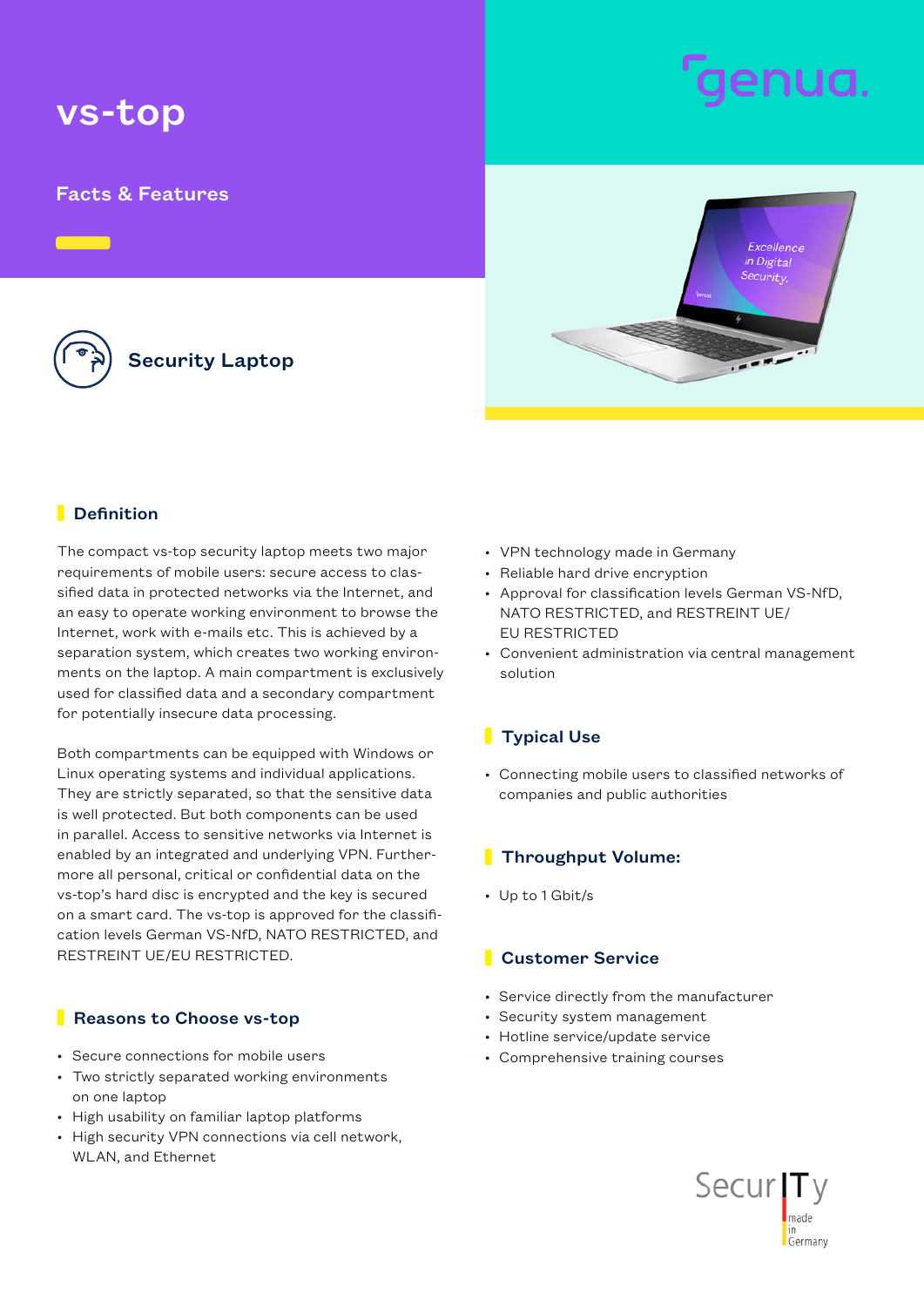# vs-top

## Facts & Features

Security Laptop

#### **Definition**

The compact vs-top security laptop meets two major requirements of mobile users: secure access to classified data in protected networks via the Internet, and an easy to operate working environment to browse the Internet, work with e-mails etc. This is achieved by a separation system, which creates two working environments on the laptop. A main compartment is exclusively used for classified data and a secondary compartment for potentially insecure data processing.

Both compartments can be equipped with Windows or Linux operating systems and individual applications. They are strictly separated, so that the sensitive data is well protected. But both components can be used in parallel. Access to sensitive networks via Internet is enabled by an integrated and underlying VPN. Furthermore all personal, critical or confidential data on the vs-top's hard disc is encrypted and the key is secured on a smart card. The vs-top is approved for the classification levels German VS-NfD, NATO RESTRICTED, and RESTREINT UE/EU RESTRICTED.

#### **Reasons to Choose vs-top**

- Secure connections for mobile users
- Two strictly separated working environments on one laptop
- High usability on familiar laptop platforms
- High security VPN connections via cell network, WLAN, and Ethernet
- VPN technology made in Germany
- Reliable hard drive encryption
- Approval for classification levels German VS-NfD, NATO RESTRICTED, and RESTREINT UE/ EU RESTRICTED
- Convenient administration via central management solution

### **Typical Use**

• Connecting mobile users to classified networks of companies and public authorities

### **Throughput Volume:**

• Up to 1 Gbit/s

#### **Customer Service**

- Service directly from the manufacturer
- Security system management
- Hotline service/update service
- Comprehensive training courses





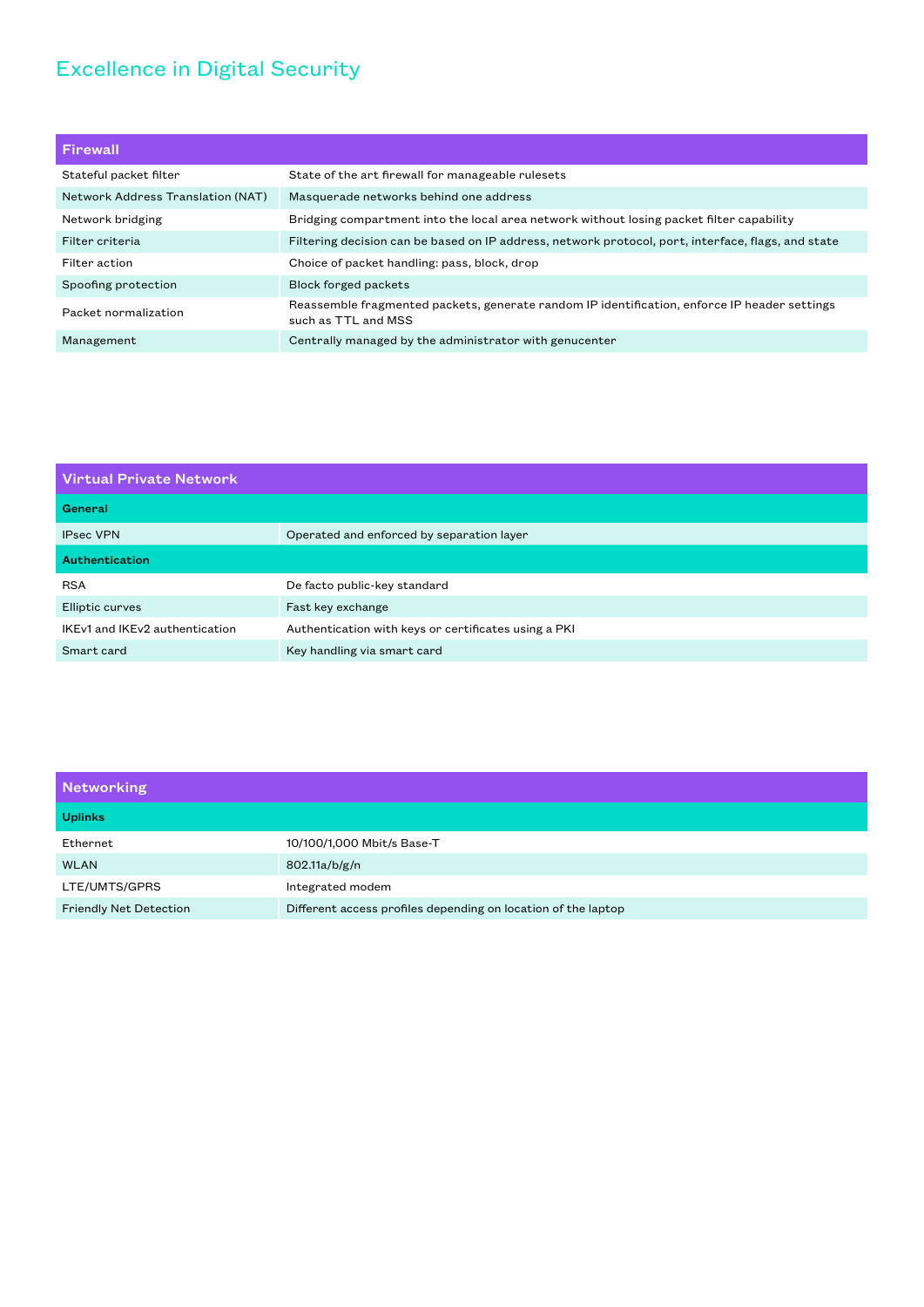# Excellence in Digital Security

| Firewall                          |                                                                                                                     |
|-----------------------------------|---------------------------------------------------------------------------------------------------------------------|
| Stateful packet filter            | State of the art firewall for manageable rulesets                                                                   |
| Network Address Translation (NAT) | Masquerade networks behind one address                                                                              |
| Network bridging                  | Bridging compartment into the local area network without losing packet filter capability                            |
| Filter criteria                   | Filtering decision can be based on IP address, network protocol, port, interface, flags, and state                  |
| Filter action                     | Choice of packet handling: pass, block, drop                                                                        |
| Spoofing protection               | <b>Block forged packets</b>                                                                                         |
| Packet normalization              | Reassemble fragmented packets, generate random IP identification, enforce IP header settings<br>such as TTL and MSS |
| Management                        | Centrally managed by the administrator with genucenter                                                              |

| <b>Virtual Private Network</b> |                                                      |  |
|--------------------------------|------------------------------------------------------|--|
| General                        |                                                      |  |
| <b>IPsec VPN</b>               | Operated and enforced by separation layer            |  |
| Authentication                 |                                                      |  |
| <b>RSA</b>                     | De facto public-key standard                         |  |
| Elliptic curves                | Fast key exchange                                    |  |
| IKEv1 and IKEv2 authentication | Authentication with keys or certificates using a PKI |  |
| Smart card                     | Key handling via smart card                          |  |

| <b>Networking</b>             |                                                               |
|-------------------------------|---------------------------------------------------------------|
| <b>Uplinks</b>                |                                                               |
| Ethernet                      | 10/100/1,000 Mbit/s Base-T                                    |
| <b>WLAN</b>                   | 802.11a/b/g/n                                                 |
| LTE/UMTS/GPRS                 | Integrated modem                                              |
| <b>Friendly Net Detection</b> | Different access profiles depending on location of the laptop |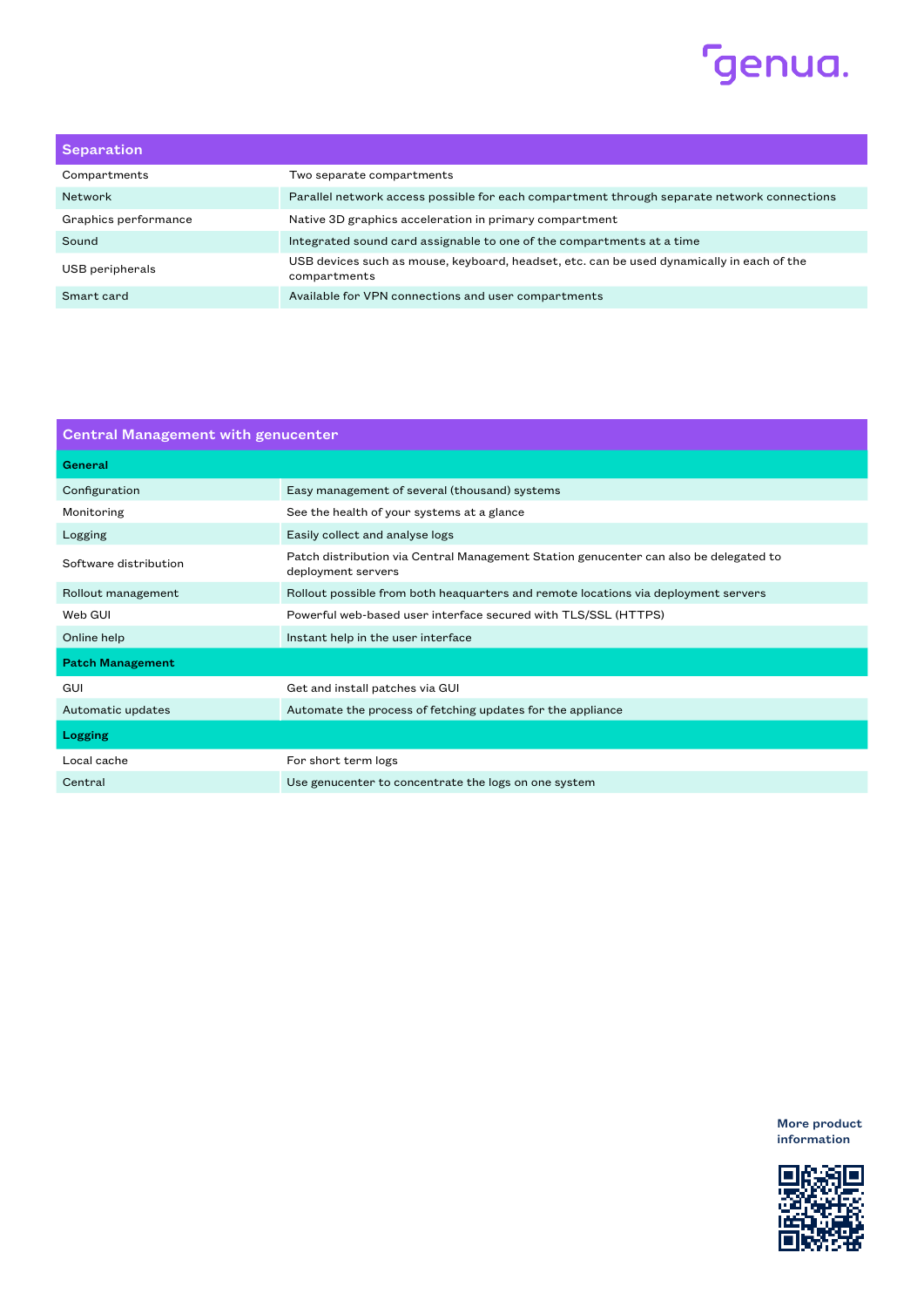

| Separation           |                                                                                                           |
|----------------------|-----------------------------------------------------------------------------------------------------------|
| Compartments         | Two separate compartments                                                                                 |
| Network              | Parallel network access possible for each compartment through separate network connections                |
| Graphics performance | Native 3D graphics acceleration in primary compartment                                                    |
| Sound                | Integrated sound card assignable to one of the compartments at a time                                     |
| USB peripherals      | USB devices such as mouse, keyboard, headset, etc. can be used dynamically in each of the<br>compartments |
| Smart card           | Available for VPN connections and user compartments                                                       |

| <b>Central Management with genucenter</b> |                                                                                                             |  |
|-------------------------------------------|-------------------------------------------------------------------------------------------------------------|--|
| General                                   |                                                                                                             |  |
| Configuration                             | Easy management of several (thousand) systems                                                               |  |
| Monitoring                                | See the health of your systems at a glance                                                                  |  |
| Logging                                   | Easily collect and analyse logs                                                                             |  |
| Software distribution                     | Patch distribution via Central Management Station genucenter can also be delegated to<br>deployment servers |  |
| Rollout management                        | Rollout possible from both heaguarters and remote locations via deployment servers                          |  |
| Web GUI                                   | Powerful web-based user interface secured with TLS/SSL (HTTPS)                                              |  |
| Online help                               | Instant help in the user interface                                                                          |  |
| <b>Patch Management</b>                   |                                                                                                             |  |
| GUI                                       | Get and install patches via GUI                                                                             |  |
| Automatic updates                         | Automate the process of fetching updates for the appliance                                                  |  |
| Logging                                   |                                                                                                             |  |
| Local cache                               | For short term logs                                                                                         |  |
| Central                                   | Use genucenter to concentrate the logs on one system                                                        |  |